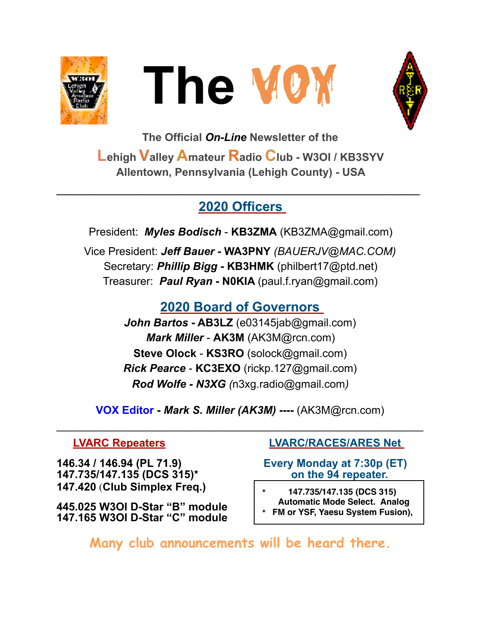





**The Official** *On-Line* **Newsletter of the Lehigh Valley Amateur Radio Club - W3OI / KB3SYV Allentown, Pennsylvania (Lehigh County) - USA** 

## **2020 Officers**

**\_\_\_\_\_\_\_\_\_\_\_\_\_\_\_\_\_\_\_\_\_\_\_\_\_\_\_\_\_\_\_\_\_\_\_\_\_\_\_\_\_\_\_\_\_\_\_\_\_\_\_\_** 

President: *Myles Bodisch* - **KB3ZMA** [\(KB3ZMA@gmail.com](mailto:KB3ZMA@gmail.com)) Vice President: *Jeff Bauer -* **WA3PNY** *(BAUERJV@MAC.COM)* Secretary: *Phillip Bigg* **- KB3HMK** [\(philbert17@ptd.net](mailto:philbert17@ptd.net)) Treasurer: *Paul Ryan* **- N0KIA** [\(paul.f.ryan@gmail.com](mailto:paul.f.ryan@gmail.com))

## **2020 Board of Governors**

*John Bartos* **- AB3LZ** ([e03145jab@gmail.com\)](mailto:e03145jab@gmail.com) *Mark Miller* - **AK3M** ([AK3M@rcn.com\)](mailto:AK3M@rcn.com) **Steve Olock** - **KS3RO** ([solock@gmail.com](mailto:solock@gmail.com)) *Rick Pearce* - **KC3EXO** ([rickp.127@gmail.com\)](mailto:rickp.127@gmail.com) *Rod Wolfe - N3XG (*[n3xg.radio@gmail.com](mailto:n3xg.radio@gmail.com)*)* 

**VOX Editor -** *Mark S. Miller (AK3M)* **----** (AK3M@rcn.com)

 $\mathcal{L}_\text{max}$  , and the contract of the contract of the contract of the contract of the contract of the contract of the contract of the contract of the contract of the contract of the contract of the contract of the contr

**146.34 / 146.94 (PL 71.9) Every Monday at 7:30p (ET) 147.735/147.135 (DCS 315)\* on the 94 repeater. 147.420** (**Club Simplex Freq.)** 

**445.025 W3OI D-Star "B" module 147.165 W3OI D-Star "C" module** 

#### **LVARC Repeaters LVARC/RACES/ARES Net**

- **\* 147.735/147.135 (DCS 315) Automatic Mode Select. Analog**
- **\* FM or YSF, Yaesu System Fusion),**

**Many club announcements will be heard there.**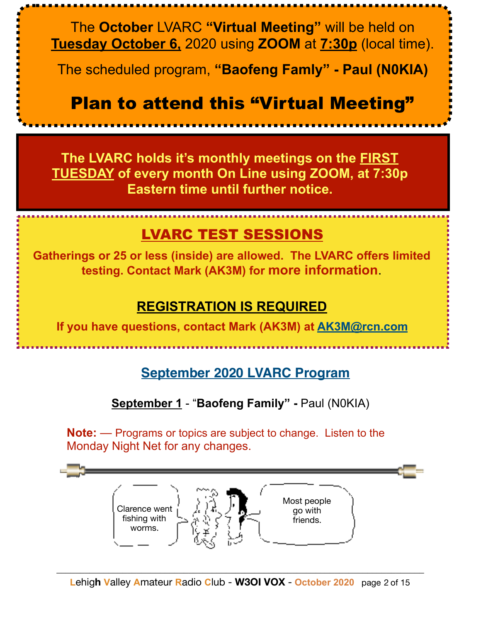The **October** LVARC **"Virtual Meeting"** will be held on **Tuesday October 6,** 2020 using **ZOOM** at **7:30p** (local time).

The scheduled program, **"Baofeng Famly" - Paul (N0KIA)**

# **Plan to attend this "Virtual Meeting"**

**The LVARC holds it's monthly meetings on the FIRST TUESDAY of every month On Line using ZOOM, at 7:30p Eastern time until further notice.**

## LVARC TEST SESSIONS

**Gatherings or 25 or less (inside) are allowed. The LVARC offers limited testing. Contact Mark (AK3M) for more information**.

## **REGISTRATION IS REQUIRED**

**If you have questions, contact Mark (AK3M) at [AK3M@rcn.com](mailto:AK3M@rcn.com)**

## **September 2020 LVARC Program**

#### **September 1** - "**Baofeng Family" -** Paul (N0KIA)

**Note:** — Programs or topics are subject to change. Listen to the Monday Night Net for any changes.

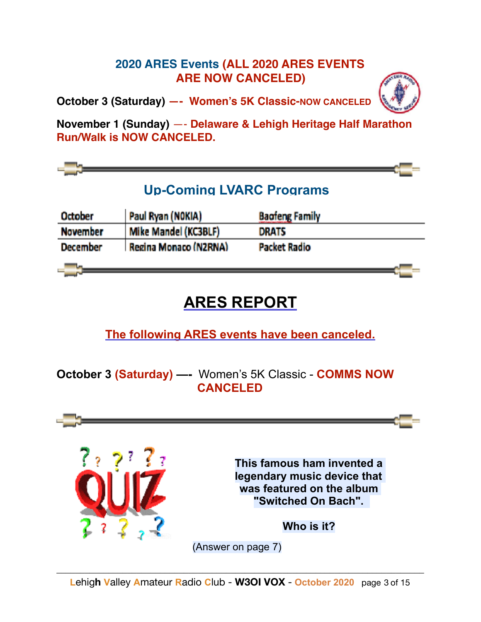#### **2020 ARES Events (ALL 2020 ARES EVENTS ARE NOW CANCELED)**

**October 3 (Saturday) —- Women's 5K Classic-NOW CANCELED**

**November 1 (Sunday)** —- **Delaware & Lehigh Heritage Half Marathon Run/Walk is NOW CANCELED.**



# **ARES REPORT**

**The following ARES events have been canceled.**

**October 3 (Saturday) —-** Women's 5K Classic - **COMMS NOW CANCELED** 

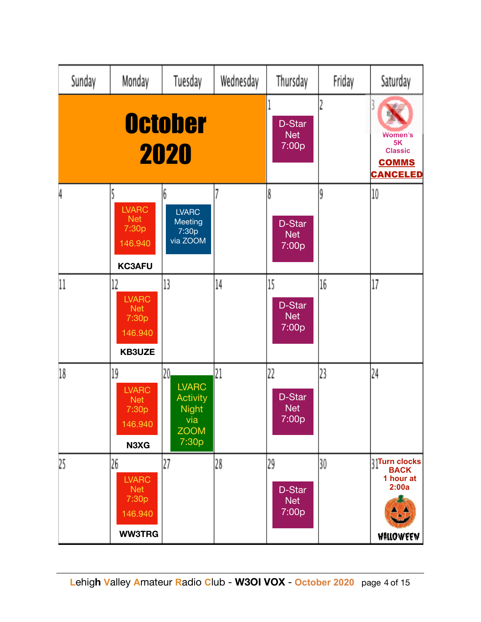| Sunday                 | Monday                                                                | Tuesday                                                                                           | Wednesday | Thursday                            | Friday | Saturday                                                                             |
|------------------------|-----------------------------------------------------------------------|---------------------------------------------------------------------------------------------------|-----------|-------------------------------------|--------|--------------------------------------------------------------------------------------|
| <b>October</b><br>2020 |                                                                       |                                                                                                   |           | D-Star<br><b>Net</b><br>7:00p       |        | <b>Women's</b><br>5K<br><b>Classic</b><br><b>COMMS</b><br><b>CANCELED</b>            |
| 4                      | <b>LVARC</b><br><b>Net</b><br>7:30p<br>146.940<br><b>KC3AFU</b>       | 6<br><b>LVARC</b><br>Meeting<br>7:30p<br>via ZOOM                                                 | 7         | Å<br>D-Star<br><b>Net</b><br>7:00p  | ŷ      | 10                                                                                   |
| 11                     | 12<br><b>LVARC</b><br><b>Net</b><br>7:30p<br>146.940<br><b>KB3UZE</b> | 13                                                                                                | 14        | 15<br>D-Star<br><b>Net</b><br>7:00p | 16     | 17                                                                                   |
| 18                     | 19<br><b>LVARC</b><br><b>Net</b><br>7:30p<br>146.940<br>N3XG          | 20 <sub>1</sub><br><b>LVARC</b><br><b>Activity</b><br><b>Night</b><br>via<br><b>ZOOM</b><br>7:30p | 21        | 22<br>D-Star<br><b>Net</b><br>7:00p | 23     | 24                                                                                   |
| 25                     | 26<br><b>LVARC</b><br><b>Net</b><br>7:30p<br>146.940<br><b>WW3TRG</b> | 27                                                                                                | 28        | 29<br>D-Star<br><b>Net</b><br>7:00p | 30     | <b>Grade</b> Superintendent<br><b>BACK</b><br>1 hour at<br>2:00a<br><b>WALLOWEEN</b> |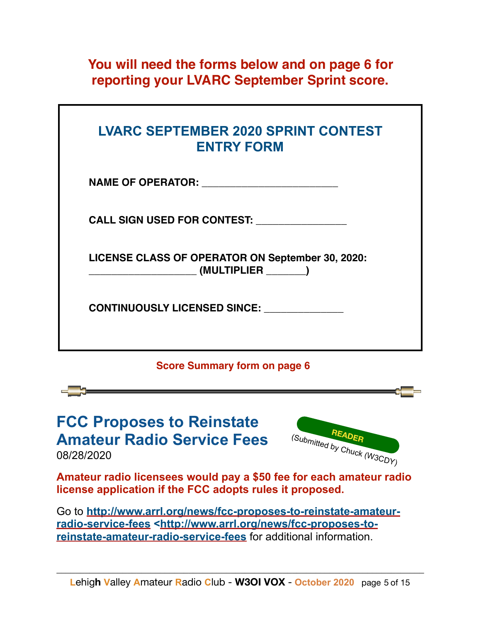**You will need the forms below and on page 6 for reporting your LVARC September Sprint score.**

| <b>LVARC SEPTEMBER 2020 SPRINT CONTEST</b><br><b>ENTRY FORM</b>   |
|-------------------------------------------------------------------|
|                                                                   |
| <b>CALL SIGN USED FOR CONTEST:</b>                                |
| LICENSE CLASS OF OPERATOR ON September 30, 2020:<br>(MULTIPLIER ) |
| <b>CONTINUOUSLY LICENSED SINCE:</b>                               |
|                                                                   |

#### **Score Summary form on page 6**

**FCC Proposes to Reinstate Amateur Radio Service Fees** 

08/28/2020



**Amateur radio licensees would pay a \$50 fee for each amateur radio license application if the FCC adopts rules it proposed.** 

Go to **[http://www.arrl.org/news/fcc-proposes-to-reinstate-amateur](http://www.arrl.org/news/fcc-proposes-to-reinstate-amateur-radio-service-fees)[radio-service-fees <http://www.arrl.org/news/fcc-proposes-to](http://www.arrl.org/news/fcc-proposes-to-reinstate-amateur-radio-service-fees)[reinstate-amateur-radio-service-fees](http://www.arrl.org/news/fcc-proposes-to-reinstate-amateur-radio-service-fees)** for additional information.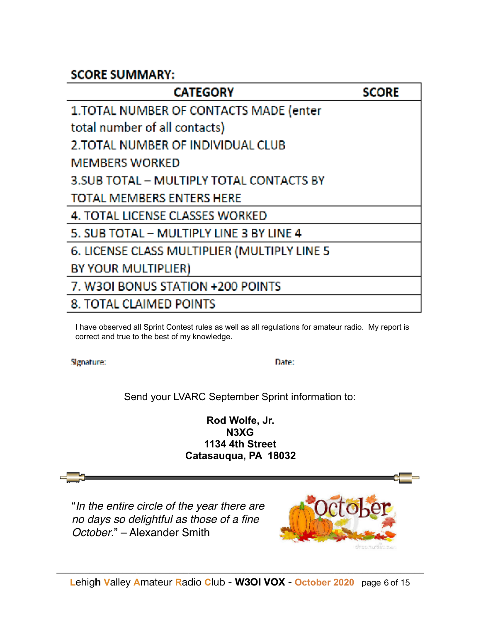#### **SCORE SUMMARY:**

| <b>CATEGORY</b>                              | <b>SCORE</b> |
|----------------------------------------------|--------------|
| 1. TOTAL NUMBER OF CONTACTS MADE (enter      |              |
| total number of all contacts)                |              |
| 2. TOTAL NUMBER OF INDIVIDUAL CLUB           |              |
| <b>MEMBERS WORKED</b>                        |              |
| 3. SUB TOTAL - MULTIPLY TOTAL CONTACTS BY    |              |
| <b>TOTAL MEMBERS ENTERS HERE</b>             |              |
| 4. TOTAL LICENSE CLASSES WORKED              |              |
| 5. SUB TOTAL - MULTIPLY LINE 3 BY LINE 4     |              |
| 6. LICENSE CLASS MULTIPLIER (MULTIPLY LINE 5 |              |
| BY YOUR MULTIPLIER)                          |              |
| 7. W30I BONUS STATION +200 POINTS            |              |
| 8. TOTAL CLAIMED POINTS                      |              |
|                                              |              |

I have observed all Sprint Contest rules as well as all regulations for amateur radio. My report is correct and true to the best of my knowledge.

Signature:

Date:

Send your LVARC September Sprint information to:

**Rod Wolfe, Jr. N3XG 1134 4th Street Catasauqua, PA 18032** 

 "*In the entire circle of the year there are no days so delightful as those of a fine October*." – Alexander Smith

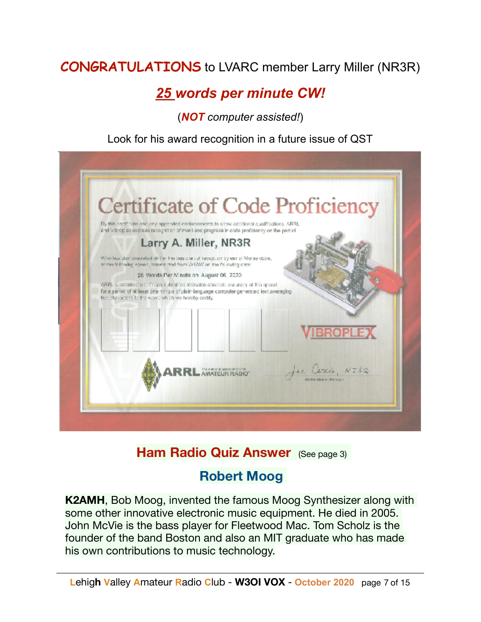## **CONGRATULATIONS** to LVARC member Larry Miller (NR3R)

## *25 words per minute CW!*

(*NOT computer assisted!*)

Look for his award recognition in a future issue of QST



## **Ham Radio Quiz Answer** (See page 3)

## **Robert Moog**

**K2AMH**, Bob Moog, invented the famous Moog Synthesizer along with some other innovative electronic music equipment. He died in 2005. John McVie is the bass player for Fleetwood Mac. Tom Scholz is the founder of the band Boston and also an MIT graduate who has made his own contributions to music technology.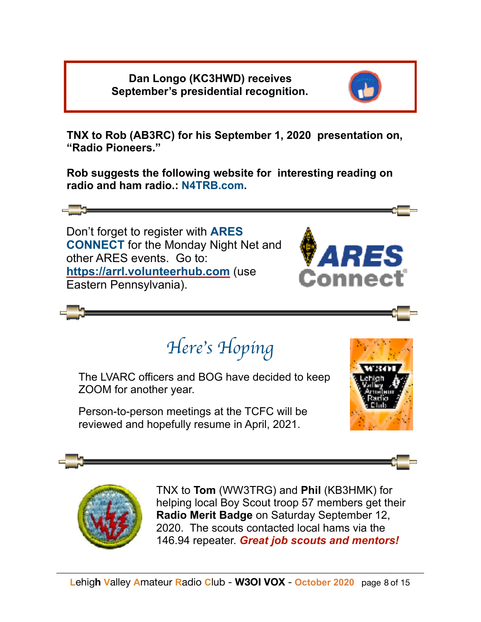**Dan Longo (KC3HWD) receives September's presidential recognition.**



**TNX to Rob (AB3RC) for his September 1, 2020 presentation on, "Radio Pioneers."** 

**Rob suggests the following website for interesting reading on radio and ham radio.: N4TRB.com.** 

 Don't forget to register with **ARES CONNECT** for the Monday Night Net and other ARES events. Go to: **<https://arrl.volunteerhub.com>** (use Eastern Pennsylvania).



*Here*'*s Hoping*

The LVARC officers and BOG have decided to keep ZOOM for another year.

Person-to-person meetings at the TCFC will be reviewed and hopefully resume in April, 2021.





TNX to **Tom** (WW3TRG) and **Phil** (KB3HMK) for helping local Boy Scout troop 57 members get their **Radio Merit Badge** on Saturday September 12, 2020. The scouts contacted local hams via the 146.94 repeater. *Great job scouts and mentors!*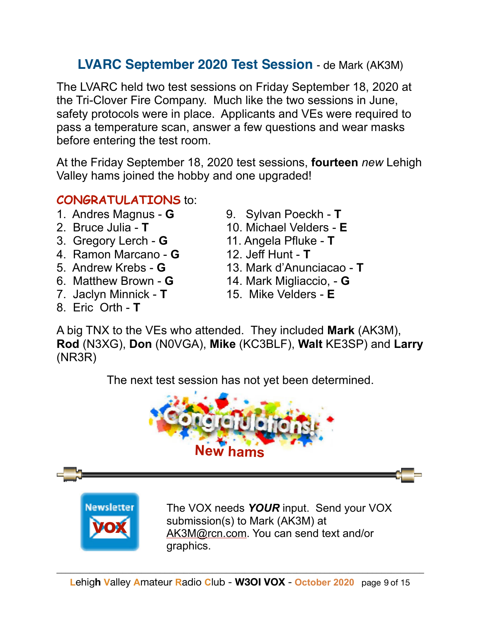## **LVARC September 2020 Test Session** - de Mark (AK3M)

The LVARC held two test sessions on Friday September 18, 2020 at the Tri-Clover Fire Company. Much like the two sessions in June, safety protocols were in place. Applicants and VEs were required to pass a temperature scan, answer a few questions and wear masks before entering the test room.

At the Friday September 18, 2020 test sessions, **fourteen** *new* Lehigh Valley hams joined the hobby and one upgraded!

#### **CONGRATULATIONS** to:

- 1. Andres Magnus **G** 9. Sylvan Poeckh **T**
- 
- 
- 4. Ramon Marcano **G** 12. Jeff Hunt **T**
- 
- 
- 7. Jaclyn Minnick **T** 15. Mike Velders **E**
- 8. Eric Orth **T**
- 
- 2. Bruce Julia **T** 10. Michael Velders **E**
- 3. Gregory Lerch **G** 11. Angela Pfluke **T**
	-
- 5. Andrew Krebs **G** 13. Mark d'Anunciacao **T**
- 6. Matthew Brown **G** 14. Mark Migliaccio, **G**
	-

A big TNX to the VEs who attended. They included **Mark** (AK3M), **Rod** (N3XG), **Don** (N0VGA), **Mike** (KC3BLF), **Walt** KE3SP) and **Larry** (NR3R)

The next test session has not yet been determined.

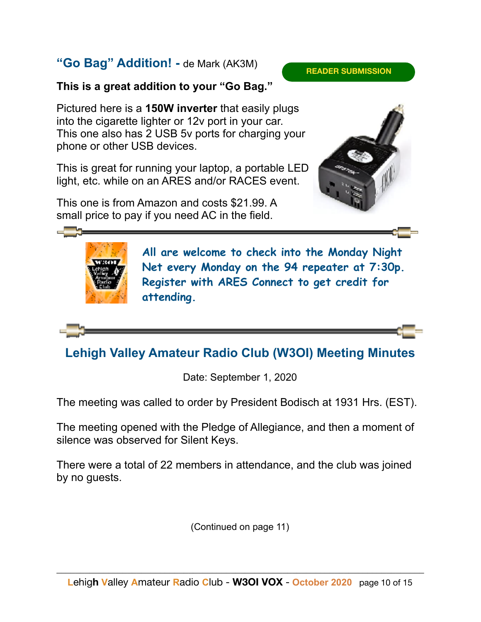#### **"Go Bag" Addition! -** de Mark (AK3M)

#### **READER SUBMISSION**

#### **This is a great addition to your "Go Bag."**

Pictured here is a **150W inverter** that easily plugs into the cigarette lighter or 12v port in your car. This one also has 2 USB 5v ports for charging your phone or other USB devices.

This is great for running your laptop, a portable LED light, etc. while on an ARES and/or RACES event.

This one is from Amazon and costs \$21.99. A small price to pay if you need AC in the field.





l

**All are welcome to check into the Monday Night Net every Monday on the 94 repeater at 7:30p. Register with ARES Connect to get credit for attending.**

## **Lehigh Valley Amateur Radio Club (W3OI) Meeting Minutes**

Date: September 1, 2020

The meeting was called to order by President Bodisch at 1931 Hrs. (EST).

The meeting opened with the Pledge of Allegiance, and then a moment of silence was observed for Silent Keys.

There were a total of 22 members in attendance, and the club was joined by no guests.

(Continued on page 11)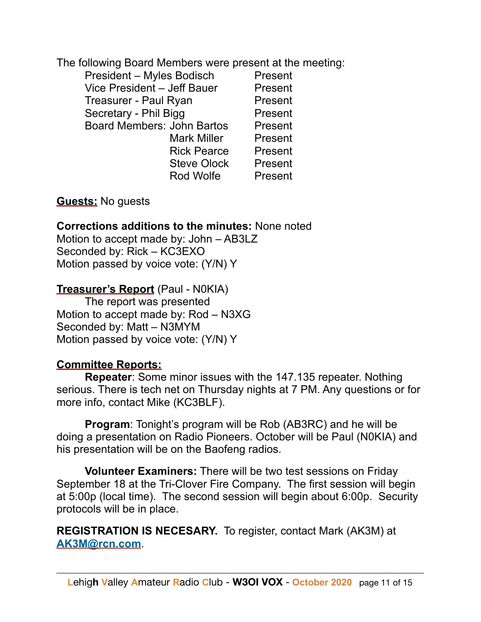The following Board Members were present at the meeting:

| <b>President - Myles Bodisch</b>  | Present |
|-----------------------------------|---------|
| Vice President - Jeff Bauer       | Present |
| Treasurer - Paul Ryan             | Present |
| Secretary - Phil Bigg             | Present |
| <b>Board Members: John Bartos</b> | Present |
| <b>Mark Miller</b>                | Present |
| <b>Rick Pearce</b>                | Present |
| <b>Steve Olock</b>                | Present |
| Rod Wolfe                         | Present |

**Guests:** No guests

#### **Corrections additions to the minutes:** None noted

Motion to accept made by: John – AB3LZ Seconded by: Rick – KC3EXO Motion passed by voice vote: (Y/N) Y

#### **Treasurer's Report** (Paul - N0KIA)

 The report was presented Motion to accept made by: Rod – N3XG Seconded by: Matt – N3MYM Motion passed by voice vote: (Y/N) Y

#### **Committee Reports:**

**Repeater**: Some minor issues with the 147.135 repeater. Nothing serious. There is tech net on Thursday nights at 7 PM. Any questions or for more info, contact Mike (KC3BLF).

**Program**: Tonight's program will be Rob (AB3RC) and he will be doing a presentation on Radio Pioneers. October will be Paul (N0KIA) and his presentation will be on the Baofeng radios.

**Volunteer Examiners:** There will be two test sessions on Friday September 18 at the Tri-Clover Fire Company. The first session will begin at 5:00p (local time). The second session will begin about 6:00p. Security protocols will be in place.

**REGISTRATION IS NECESARY.** To register, contact Mark (AK3M) at **[AK3M@rcn.com](mailto:AK3M@rcn.com)**.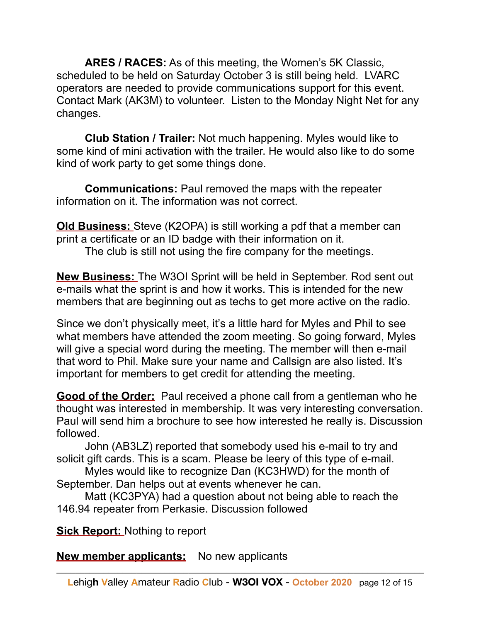**ARES / RACES:** As of this meeting, the Women's 5K Classic, scheduled to be held on Saturday October 3 is still being held. LVARC operators are needed to provide communications support for this event. Contact Mark (AK3M) to volunteer. Listen to the Monday Night Net for any changes.

**Club Station / Trailer:** Not much happening. Myles would like to some kind of mini activation with the trailer. He would also like to do some kind of work party to get some things done.

**Communications:** Paul removed the maps with the repeater information on it. The information was not correct.

**Old Business:** Steve (K2OPA) is still working a pdf that a member can print a certificate or an ID badge with their information on it.

The club is still not using the fire company for the meetings.

**New Business:** The W3OI Sprint will be held in September. Rod sent out e-mails what the sprint is and how it works. This is intended for the new members that are beginning out as techs to get more active on the radio.

Since we don't physically meet, it's a little hard for Myles and Phil to see what members have attended the zoom meeting. So going forward, Myles will give a special word during the meeting. The member will then e-mail that word to Phil. Make sure your name and Callsign are also listed. It's important for members to get credit for attending the meeting.

**Good of the Order:** Paul received a phone call from a gentleman who he thought was interested in membership. It was very interesting conversation. Paul will send him a brochure to see how interested he really is. Discussion followed.

 John (AB3LZ) reported that somebody used his e-mail to try and solicit gift cards. This is a scam. Please be leery of this type of e-mail.

 Myles would like to recognize Dan (KC3HWD) for the month of September. Dan helps out at events whenever he can.

 Matt (KC3PYA) had a question about not being able to reach the 146.94 repeater from Perkasie. Discussion followed

**Sick Report:** Nothing to report

**New member applicants:** No new applicants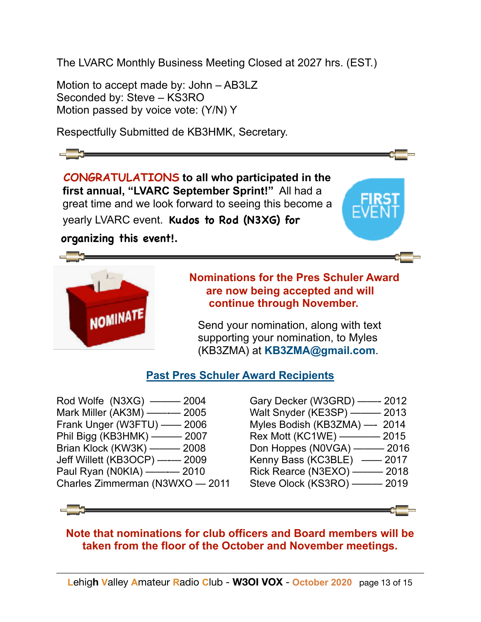The LVARC Monthly Business Meeting Closed at 2027 hrs. (EST.)

Motion to accept made by: John – AB3LZ Seconded by: Steve - KS3RO Motion passed by voice vote: (Y/N) Y

Respectfully Submitted de KB3HMK, Secretary.

 **CONGRATULATIONS to all who participated in the first annual, "LVARC September Sprint!"** All had a great time and we look forward to seeing this become a yearly LVARC event. **Kudos to Rod (N3XG) for**

 **organizing this event!.** 



# • **Nominations for the Pres Schuler Award are now being accepted and will**

Send your nomination, along with text supporting your nomination, to Myles (KB3ZMA) at **[KB3ZMA@gmail.com](mailto:KB3ZMA@gmail.com)**.

#### **Past Pres Schuler Award Recipients**

Rod Wolfe (N3XG) ——— 2004 Mark Miller (AK3M) ——-— 2005 Frank Unger (W3FTU) —— 2006 Phil Bigg (KB3HMK) ——— 2007 Brian Klock (KW3K) ——— 2008 Jeff Willett (KB3OCP) —-— 2009 Paul Ryan (N0KIA) ——- 2010 Charles Zimmerman (N3WXO — 2011

Gary Decker (W3GRD) ——- 2012 Walt Snyder (KE3SP) ——— 2013 Myles Bodish (KB3ZMA) —- 2014 Rex Mott (KC1WE) ————— 2015 Don Hoppes (N0VGA) ——— 2016 Kenny Bass (KC3BLE) —— 2017 Rick Rearce (N3EXO) ——— 2018 Steve Olock (KS3RO) ——— 2019

#### **Note that nominations for club officers and Board members will be taken from the floor of the October and November meetings.**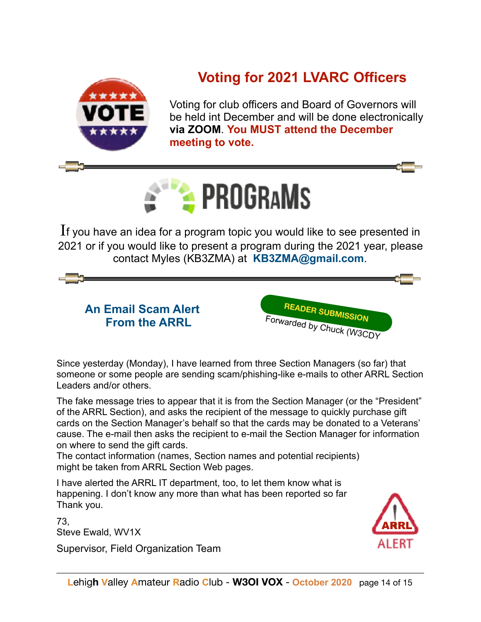

# **Voting for 2021 LVARC Officers**

 Voting for club officers and Board of Governors will be held int December and will be done electronically **via ZOOM**. **You MUST attend the December meeting to vote.** 



If you have an idea for a program topic you would like to see presented in 2021 or if you would like to present a program during the 2021 year, please contact Myles (KB3ZMA) at **[KB3ZMA@gmail.com](mailto:KB3ZMA@gmail.com)**.

**An Email Scam Alert From the ARRL** 



Since yesterday (Monday), I have learned from three Section Managers (so far) that someone or some people are sending scam/phishing-like e-mails to other ARRL Section Leaders and/or others.

The fake message tries to appear that it is from the Section Manager (or the "President" of the ARRL Section), and asks the recipient of the message to quickly purchase gift cards on the Section Manager's behalf so that the cards may be donated to a Veterans' cause. The e-mail then asks the recipient to e-mail the Section Manager for information on where to send the gift cards.

The contact information (names, Section names and potential recipients) might be taken from ARRL Section Web pages.

I have alerted the ARRL IT department, too, to let them know what is happening. I don't know any more than what has been reported so far. Thank you.

73, Steve Ewald, WV1X

Supervisor, Field Organization Team